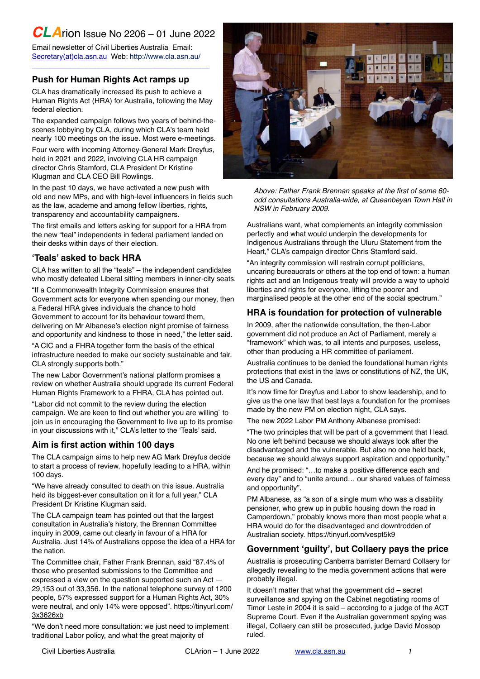# *CLA*rion Issue No 2206 – 01 June 2022

Email newsletter of Civil Liberties Australia Email: [Secretary\(at\)cla.asn.au](mailto:secretary@cla.asn.au?subject=email%20subject) Web:<http://www.cla.asn.au>/ \_\_\_\_\_\_\_\_\_\_\_\_\_\_\_\_\_\_\_\_\_\_\_\_\_\_\_\_\_\_\_\_\_\_\_\_\_\_\_\_\_\_\_\_

### **Push for Human Rights Act ramps up**

CLA has dramatically increased its push to achieve a Human Rights Act (HRA) for Australia, following the May federal election.

The expanded campaign follows two years of behind-thescenes lobbying by CLA, during which CLA's team held nearly 100 meetings on the issue. Most were e-meetings.

Four were with incoming Attorney-General Mark Dreyfus, held in 2021 and 2022, involving CLA HR campaign director Chris Stamford, CLA President Dr Kristine Klugman and CLA CEO Bill Rowlings.

In the past 10 days, we have activated a new push with old and new MPs, and with high-level influencers in fields such as the law, academe and among fellow liberties, rights, transparency and accountability campaigners.

The first emails and letters asking for support for a HRA from the new "teal" independents in federal parliament landed on their desks within days of their election.

### **'Teals' asked to back HRA**

CLA has written to all the "teals" – the independent candidates who mostly defeated Liberal sitting members in inner-city seats.

"If a Commonwealth Integrity Commission ensures that Government acts for everyone when spending our money, then a Federal HRA gives individuals the chance to hold Government to account for its behaviour toward them, delivering on Mr Albanese's election night promise of fairness and opportunity and kindness to those in need," the letter said.

"A CIC and a FHRA together form the basis of the ethical infrastructure needed to make our society sustainable and fair. CLA strongly supports both."

The new Labor Government's national platform promises a review on whether Australia should upgrade its current Federal Human Rights Framework to a FHRA, CLA has pointed out.

"Labor did not commit to the review during the election campaign. We are keen to find out whether you are willing` to join us in encouraging the Government to live up to its promise in your discussions with it," CLA's letter to the 'Teals' said.

# **Aim is first action within 100 days**

The CLA campaign aims to help new AG Mark Dreyfus decide to start a process of review, hopefully leading to a HRA, within 100 days.

"We have already consulted to death on this issue. Australia held its biggest-ever consultation on it for a full year," CLA President Dr Kristine Klugman said.

The CLA campaign team has pointed out that the largest consultation in Australia's history, the Brennan Committee inquiry in 2009, came out clearly in favour of a HRA for Australia. Just 14% of Australians oppose the idea of a HRA for the nation.

The Committee chair, Father Frank Brennan, said "87.4% of those who presented submissions to the Committee and expressed a view on the question supported such an Act — 29,153 out of 33,356. In the national telephone survey of 1200 people, 57% expressed support for a Human Rights Act, 30% were neutral, and only 14% were opposed". [https://tinyurl.com/](https://tinyurl.com/3x3626xb) [3x3626xb](https://tinyurl.com/3x3626xb)

"We don't need more consultation: we just need to implement traditional Labor policy, and what the great majority of



*Above: Father Frank Brennan speaks at the first of some 60 odd consultations Australia-wide, at Queanbeyan Town Hall in NSW in February 2009.*

Australians want, what complements an integrity commission perfectly and what would underpin the developments for Indigenous Australians through the Uluru Statement from the Heart," CLA's campaign director Chris Stamford said.

"An integrity commission will restrain corrupt politicians, uncaring bureaucrats or others at the top end of town: a human rights act and an Indigenous treaty will provide a way to uphold liberties and rights for everyone, lifting the poorer and marginalised people at the other end of the social spectrum."

### **HRA is foundation for protection of vulnerable**

In 2009, after the nationwide consultation, the then-Labor government did not produce an Act of Parliament, merely a "framework" which was, to all intents and purposes, useless, other than producing a HR committee of parliament.

Australia continues to be denied the foundational human rights protections that exist in the laws or constitutions of NZ, the UK, the US and Canada.

It's now time for Dreyfus and Labor to show leadership, and to give us the one law that best lays a foundation for the promises made by the new PM on election night, CLA says.

The new 2022 Labor PM Anthony Albanese promised:

"The two principles that will be part of a government that I lead. No one left behind because we should always look after the disadvantaged and the vulnerable. But also no one held back, because we should always support aspiration and opportunity."

And he promised: "…to make a positive difference each and every day" and to "unite around… our shared values of fairness and opportunity".

PM Albanese, as "a son of a single mum who was a disability pensioner, who grew up in public housing down the road in Camperdown," probably knows more than most people what a HRA would do for the disadvantaged and downtrodden of Australian society.<https://tinyurl.com/vespt5k9>

### **Government 'guilty', but Collaery pays the price**

Australia is prosecuting Canberra barrister Bernard Collaery for allegedly revealing to the media government actions that were probably illegal.

It doesn't matter that what the government did – secret surveillance and spying on the Cabinet negotiating rooms of Timor Leste in 2004 it is said – according to a judge of the ACT Supreme Court. Even if the Australian government spying was illegal, Collaery can still be prosecuted, judge David Mossop ruled.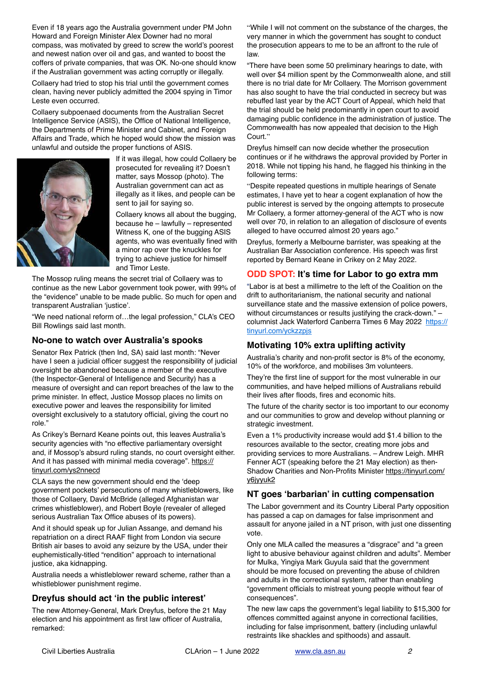Even if 18 years ago the Australia government under PM John Howard and Foreign Minister Alex Downer had no moral compass, was motivated by greed to screw the world's poorest and newest nation over oil and gas, and wanted to boost the coffers of private companies, that was OK. No-one should know if the Australian government was acting corruptly or illegally.

Collaery had tried to stop his trial until the government comes clean, having never publicly admitted the 2004 spying in Timor Leste even occurred.

Collaery subpoenaed documents from the Australian Secret Intelligence Service (ASIS), the Office of National Intelligence, the Departments of Prime Minister and Cabinet, and Foreign Affairs and Trade, which he hoped would show the mission was unlawful and outside the proper functions of ASIS.



If it was illegal, how could Collaery be prosecuted for revealing it? Doesn't matter, says Mossop (photo). The Australian government can act as illegally as it likes, and people can be sent to jail for saying so.

Collaery knows all about the bugging, because he – lawfully – represented Witness K, one of the bugging ASIS agents, who was eventually fined with a minor rap over the knuckles for trying to achieve justice for himself and Timor Leste.

The Mossop ruling means the secret trial of Collaery was to continue as the new Labor government took power, with 99% of the "evidence" unable to be made public. So much for open and transparent Australian 'justice'.

"We need national reform of…the legal profession," CLA's CEO Bill Rowlings said last month.

# **No-one to watch over Australia's spooks**

Senator Rex Patrick (then Ind, SA) said last month: "Never have I seen a judicial officer suggest the responsibility of judicial oversight be abandoned because a member of the executive (the Inspector-General of Intelligence and Security) has a measure of oversight and can report breaches of the law to the prime minister. In effect, Justice Mossop places no limits on executive power and leaves the responsibility for limited oversight exclusively to a statutory official, giving the court no role."

As Crikey's Bernard Keane points out, this leaves Australia's security agencies with "no effective parliamentary oversight and, if Mossop's absurd ruling stands, no court oversight either. And it has passed with minimal media coverage". [https://](https://tinyurl.com/ys2nnecd) [tinyurl.com/ys2nnecd](https://tinyurl.com/ys2nnecd)

CLA says the new government should end the 'deep government pockets' persecutions of many whistleblowers, like those of Collaery, David McBride (alleged Afghanistan war crimes whistleblower), and Robert Boyle (revealer of alleged serious Australian Tax Office abuses of its powers).

And it should speak up for Julian Assange, and demand his repatriation on a direct RAAF flight from London via secure British air bases to avoid any seizure by the USA, under their euphemistically-titled "rendition" approach to international justice, aka kidnapping.

Australia needs a whistleblower reward scheme, rather than a whistleblower punishment regime.

# **Dreyfus should act 'in the public interest'**

The new Attorney-General, Mark Dreyfus, before the 21 May election and his appointment as first law officer of Australia, remarked:

"While I will not comment on the substance of the charges, the very manner in which the government has sought to conduct the prosecution appears to me to be an affront to the rule of law.

"There have been some 50 preliminary hearings to date, with well over \$4 million spent by the Commonwealth alone, and still there is no trial date for Mr Collaery. The Morrison government has also sought to have the trial conducted in secrecy but was rebuffed last year by the ACT Court of Appeal, which held that the trial should be held predominantly in open court to avoid damaging public confidence in the administration of justice. The Commonwealth has now appealed that decision to the High Court."

Dreyfus himself can now decide whether the prosecution continues or if he withdraws the approval provided by Porter in 2018. While not tipping his hand, he flagged his thinking in the following terms:

"Despite repeated questions in multiple hearings of Senate estimates, I have yet to hear a cogent explanation of how the public interest is served by the ongoing attempts to prosecute Mr Collaery, a former attorney-general of the ACT who is now well over 70, in relation to an allegation of disclosure of events alleged to have occurred almost 20 years ago."

Dreyfus, formerly a Melbourne barrister, was speaking at the Australian Bar Association conference. His speech was first reported by Bernard Keane in Crikey on 2 May 2022.

### **ODD SPOT: It's time for Labor to go extra mm**

"Labor is at best a millimetre to the left of the Coalition on the drift to authoritarianism, the national security and national surveillance state and the massive extension of police powers, without circumstances or results justifying the crack-down." – columnist Jack Waterford Canberra Times 6 May 2022 [https://](https://tinyurl.com/yckzzpjs) [tinyurl.com/yckzzpjs](https://tinyurl.com/yckzzpjs)

### **Motivating 10% extra uplifting activity**

Australia's charity and non-profit sector is 8% of the economy, 10% of the workforce, and mobilises 3m volunteers.

They're the first line of support for the most vulnerable in our communities, and have helped millions of Australians rebuild their lives after floods, fires and economic hits.

The future of the charity sector is too important to our economy and our communities to grow and develop without planning or strategic investment.

Even a 1% productivity increase would add \$1.4 billion to the resources available to the sector, creating more jobs and providing services to more Australians. – Andrew Leigh. MHR Fenner ACT (speaking before the 21 May election) as then-Shadow Charities and Non-Profits Minister [https://tinyurl.com/](https://tinyurl.com/y6jyyuk2) [y6jyyuk2](https://tinyurl.com/y6jyyuk2)

### **NT goes 'barbarian' in cutting compensation**

The Labor government and its Country Liberal Party opposition has passed a cap on damages for false imprisonment and assault for anyone jailed in a NT prison, with just one dissenting vote.

Only one MLA called the measures a "disgrace" and "a green light to abusive behaviour against children and adults". Member for Mulka, Yingiya Mark Guyula said that the government should be more focused on preventing the abuse of children and adults in the correctional system, rather than enabling "government officials to mistreat young people without fear of consequences".

The new law caps the government's legal liability to \$15,300 for offences committed against anyone in correctional facilities, including for false imprisonment, battery (including unlawful restraints like shackles and spithoods) and assault.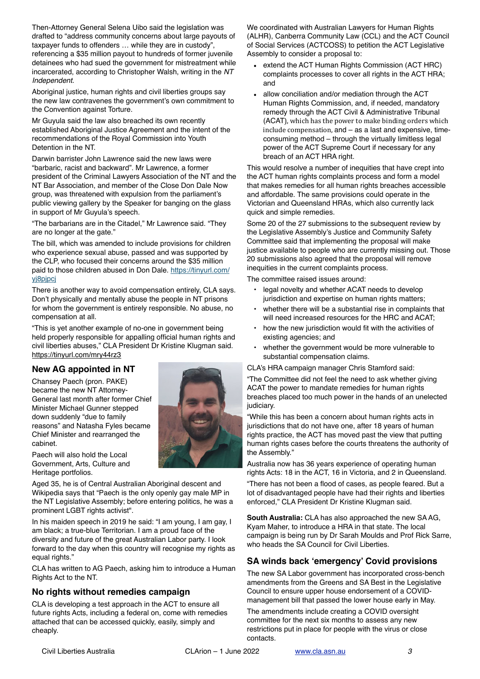Then-Attorney General Selena Uibo said the legislation was drafted to "address community concerns about large payouts of taxpayer funds to offenders … while they are in custody", referencing a \$35 million payout to hundreds of former juvenile detainees who had sued the government for mistreatment while incarcerated, according to Christopher Walsh, writing in the *NT Independent*.

Aboriginal justice, human rights and civil liberties groups say the new law contravenes the government's own commitment to the Convention against Torture.

Mr Guyula said the law also breached its own recently established Aboriginal Justice Agreement and the intent of the recommendations of the Royal Commission into Youth Detention in the NT.

Darwin barrister John Lawrence said the new laws were "barbaric, racist and backward". Mr Lawrence, a former president of the Criminal Lawyers Association of the NT and the NT Bar Association, and member of the Close Don Dale Now group, was threatened with expulsion from the parliament's public viewing gallery by the Speaker for banging on the glass in support of Mr Guyula's speech.

"The barbarians are in the Citadel," Mr Lawrence said. "They are no longer at the gate."

The bill, which was amended to include provisions for children who experience sexual abuse, passed and was supported by the CLP, who focused their concerns around the \$35 million paid to those children abused in Don Dale. [https://tinyurl.com/](https://tinyurl.com/yj8pjpcj) [yj8pjpcj](https://tinyurl.com/yj8pjpcj)

There is another way to avoid compensation entirely, CLA says. Don't physically and mentally abuse the people in NT prisons for whom the government is entirely responsible. No abuse, no compensation at all.

"This is yet another example of no-one in government being held properly responsible for appalling official human rights and civil liberties abuses," CLA President Dr Kristine Klugman said. <https://tinyurl.com/mry44rz3>

### **New AG appointed in NT**

Chansey Paech (pron. PAKE) became the new NT Attorney-General last month after former Chief Minister Michael Gunner stepped down suddenly "due to family reasons" and Natasha Fyles became Chief Minister and rearranged the cabinet.

Paech will also hold the Local Government, Arts, Culture and Heritage portfolios.

Aged 35, he is of Central Australian Aboriginal descent and Wikipedia says that "Paech is the only openly gay male MP in the NT Legislative Assembly; before entering politics, he was a prominent [LGBT rights activist](https://en.wikipedia.org/wiki/LGBT_rights_in_Australia)".

In his maiden speech in 2019 he said: "I am young, I am gay, I am black; a true-blue Territorian. I am a proud face of the diversity and future of the great Australian Labor party. I look forward to the day when this country will recognise my rights as equal rights."

CLA has written to AG Paech, asking him to introduce a Human Rights Act to the NT.

### **No rights without remedies campaign**

CLA is developing a test approach in the ACT to ensure all future rights Acts, including a federal on, come with remedies attached that can be accessed quickly, easily, simply and cheaply.

We coordinated with Australian Lawyers for Human Rights (ALHR), Canberra Community Law (CCL) and the ACT Council of Social Services (ACTCOSS) to petition the ACT Legislative Assembly to consider a proposal to:

- extend the ACT Human Rights Commission (ACT HRC) complaints processes to cover all rights in the ACT HRA; and
- allow conciliation and/or mediation through the ACT Human Rights Commission, and, if needed, mandatory remedy through the ACT Civil & Administrative Tribunal (ACAT), which has the power to make binding orders which  $include *compensation*, and  $-\text{as a last and expensive, time$$ consuming method – through the virtually limitless legal power of the ACT Supreme Court if necessary for any breach of an ACT HRA right.

This would resolve a number of inequities that have crept into the ACT human rights complaints process and form a model that makes remedies for all human rights breaches accessible and affordable. The same provisions could operate in the Victorian and Queensland HRAs, which also currently lack quick and simple remedies.

Some 20 of the 27 submissions to the subsequent review by the Legislative Assembly's Justice and Community Safety Committee said that implementing the proposal will make justice available to people who are currently missing out. Those 20 submissions also agreed that the proposal will remove inequities in the current complaints process.

The committee raised issues around:

- legal novelty and whether ACAT needs to develop jurisdiction and expertise on human rights matters;
- whether there will be a substantial rise in complaints that will need increased resources for the HRC and ACAT;
- how the new jurisdiction would fit with the activities of existing agencies; and
- whether the government would be more vulnerable to substantial compensation claims.

CLA's HRA campaign manager Chris Stamford said:

"The Committee did not feel the need to ask whether giving ACAT the power to mandate remedies for human rights breaches placed too much power in the hands of an unelected judiciary.

"While this has been a concern about human rights acts in jurisdictions that do not have one, after 18 years of human rights practice, the ACT has moved past the view that putting human rights cases before the courts threatens the authority of the Assembly."

Australia now has 36 years experience of operating human rights Acts: 18 in the ACT, 16 in Victoria, and 2 in Queensland.

"There has not been a flood of cases, as people feared. But a lot of disadvantaged people have had their rights and liberties enforced," CLA President Dr Kristine Klugman said.

**South Australia:** CLA has also approached the new SA AG, Kyam Maher, to introduce a HRA in that state. The local campaign is being run by Dr Sarah Moulds and Prof Rick Sarre, who heads the SA Council for Civil Liberties.

### **SA winds back 'emergency' Covid provisions**

The new SA Labor government has incorporated cross-bench amendments from the Greens and SA Best in the Legislative Council to ensure upper house endorsement of a COVIDmanagement bill that passed the lower house early in May.

The amendments include creating a COVID oversight committee for the next six months to assess any new restrictions put in place for people with the virus or close contacts.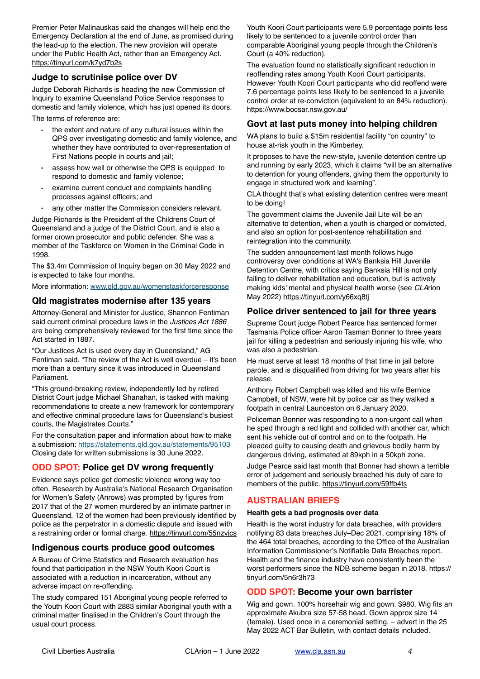Premier Peter Malinauskas said the changes will help end the Emergency Declaration at the end of June, as promised during the lead-up to the election. The new provision will operate under the Public Health Act, rather than an Emergency Act. <https://tinyurl.com/k7yd7b2s>

#### **Judge to scrutinise police over DV**

Judge Deborah Richards is heading the new Commission of Inquiry to examine Queensland Police Service responses to domestic and family violence, which has just opened its doors.

The terms of reference are:

- the extent and nature of any cultural issues within the QPS over investigating domestic and family violence, and whether they have contributed to over-representation of First Nations people in courts and jail;
- assess how well or otherwise the QPS is equipped to respond to domestic and family violence;
- examine current conduct and complaints handling processes against officers; and
- any other matter the Commission considers relevant.

Judge Richards is the President of the Childrens Court of Queensland and a judge of the District Court, and is also a former crown prosecutor and public defender. She was a member of the Taskforce on Women in the Criminal Code in 1998.

The \$3.4m Commission of Inquiry began on 30 May 2022 and is expected to take four months.

More information: [www.qld.gov.au/womenstaskforceresponse](http://www.qld.gov.au/womenstaskforceresponse)

### **Qld magistrates modernise after 135 years**

Attorney-General and Minister for Justice, Shannon Fentiman said current criminal procedure laws in the *Justices Act 1886* are being comprehensively reviewed for the first time since the Act started in 1887.

"Our Justices Act is used every day in Queensland," AG Fentiman said. "The review of the Act is well overdue – it's been more than a century since it was introduced in Queensland Parliament.

"This ground-breaking review, independently led by retired District Court judge Michael Shanahan, is tasked with making recommendations to create a new framework for contemporary and effective criminal procedure laws for Queensland's busiest courts, the Magistrates Courts."

For the consultation paper and information about how to make a submission:<https://statements.qld.gov.au/statements/95103> Closing date for written submissions is 30 June 2022.

# **ODD SPOT: Police get DV wrong frequently**

Evidence says police get domestic violence wrong way too often. Research by Australia's National Research Organisation for Women's Safety (Anrows) was prompted by figures from 2017 that of the 27 women murdered by an intimate partner in Queensland, 12 of the women had been previously identified by police as the perpetrator in a domestic dispute and issued with a restraining order or formal charge. <https://tinyurl.com/55nzvjcs>

# **Indigenous courts produce good outcomes**

A Bureau of Crime Statistics and Research evaluation has found that participation in the NSW Youth Koori Court is associated with a reduction in incarceration, without any adverse impact on re-offending.

The study compared 151 Aboriginal young people referred to the Youth Koori Court with 2883 similar Aboriginal youth with a criminal matter finalised in the Children's Court through the usual court process.

Youth Koori Court participants were 5.9 percentage points less likely to be sentenced to a juvenile control order than comparable Aboriginal young people through the Children's Court (a 40% reduction).

The evaluation found no statistically significant reduction in reoffending rates among Youth Koori Court participants. However Youth Koori Court participants who did reoffend were 7.6 percentage points less likely to be sentenced to a juvenile control order at re-conviction (equivalent to an 84% reduction). <https://www.bocsar.nsw.gov.au/>

#### **Govt at last puts money into helping children**

WA plans to build a \$15m residential facility "on country" to house at-risk youth in the Kimberley.

It proposes to have the new-style, juvenile detention centre up and running by early 2023, which it claims "will be an alternative to detention for young offenders, giving them the opportunity to engage in structured work and learning".

CLA thought that's what existing detention centres were meant to be doing!

The government claims the Juvenile Jail Lite will be an alternative to detention, when a youth is charged or convicted, and also an option for post-sentence rehabilitation and reintegration into the community.

The sudden announcement last month follows huge controversy over conditions at WA's Banksia Hill Juvenile Detention Centre, with critics saying Banksia Hill is not only failing to deliver rehabilitation and education, but is actively making kids' mental and physical health worse (see *CLA*rion May 2022)<https://tinyurl.com/y66xq8tj>

#### **Police driver sentenced to jail for three years**

Supreme Court judge Robert Pearce has sentenced former Tasmania Police officer Aaron Tasman Bonner to three years jail for killing a pedestrian and seriously injuring his wife, who was also a pedestrian.

He must serve at least 18 months of that time in jail before parole, and is disqualified from driving for two years after his release.

Anthony Robert Campbell was killed and his wife Bernice Campbell, of NSW, were hit by police car as they walked a footpath in central Launceston on 6 January 2020.

Policeman Bonner was responding to a non-urgent call when he sped through a red light and collided with another car, which sent his vehicle out of control and on to the footpath. He pleaded guilty to causing death and grievous bodily harm by dangerous driving, estimated at 89kph in a 50kph zone.

Judge Pearce said last month that Bonner had shown a terrible error of judgement and seriously breached his duty of care to members of the public. <https://tinyurl.com/59ffb4ts>

# **AUSTRALIAN BRIEFS**

#### **Health gets a bad prognosis over data**

Health is the worst industry for data breaches, with providers notifying 83 data breaches July–Dec 2021, comprising 18% of the 464 total breaches, according to the Office of the Australian Information Commissioner's Notifiable Data Breaches report. Health and the finance industry have consistently been the worst performers since the NDB scheme began in 2018. [https://](https://tinyurl.com/5n6r3h73) [tinyurl.com/5n6r3h73](https://tinyurl.com/5n6r3h73)

### **ODD SPOT: Become your own barrister**

Wig and gown. 100% horsehair wig and gown. \$980. Wig fits an approximate Akubra size 57-58 head. Gown approx size 14 (female). Used once in a ceremonial setting. – advert in the 25 May 2022 ACT Bar Bulletin, with contact details included.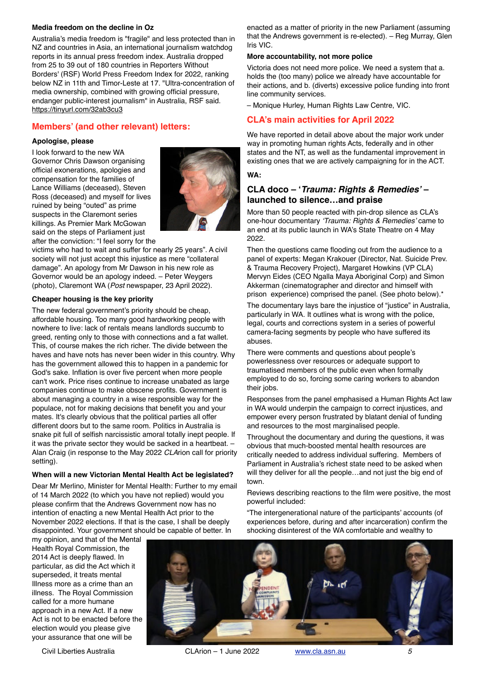#### **Media freedom on the decline in Oz**

Australia's media freedom is "fragile" and less protected than in NZ and countries in Asia, an international journalism watchdog reports in its annual press freedom index. Australia dropped from 25 to 39 out of 180 countries in Reporters Without Borders' (RSF) World Press Freedom Index for 2022, ranking below NZ in 11th and Timor-Leste at 17. "Ultra-concentration of media ownership, combined with growing official pressure, endanger public-interest journalism" in Australia, RSF said. <https://tinyurl.com/32ab3cu3>

#### **Members' (and other relevant) letters:**

#### **Apologise, please**

I look forward to the new WA Governor Chris Dawson organising official exonerations, apologies and compensation for the families of Lance Williams (deceased), Steven Ross (deceased) and myself for lives ruined by being "outed" as prime suspects in the Claremont series killings. As Premier Mark McGowan said on the steps of Parliament just after the conviction: "I feel sorry for the



victims who had to wait and suffer for nearly 25 years". A civil society will not just accept this injustice as mere "collateral damage". An apology from Mr Dawson in his new role as Governor would be an apology indeed. – Peter Weygers (photo), Claremont WA (*Post* newspaper, 23 April 2022).

#### **Cheaper housing is the key priority**

The new federal government's priority should be cheap, affordable housing. Too many good hardworking people with nowhere to live: lack of rentals means landlords succumb to greed, renting only to those with connections and a fat wallet. This, of course makes the rich richer. The divide between the haves and have nots has never been wider in this country. Why has the government allowed this to happen in a pandemic for God's sake. Inflation is over five percent when more people can't work. Price rises continue to increase unabated as large companies continue to make obscene profits. Government is about managing a country in a wise responsible way for the populace, not for making decisions that benefit you and your mates. It's clearly obvious that the political parties all offer different doors but to the same room. Politics in Australia is snake pit full of selfish narcissistic amoral totally inept people. If it was the private sector they would be sacked in a heartbeat. – Alan Craig (in response to the May 2022 *CLA*rion call for priority setting).

#### **When will a new Victorian Mental Health Act be legislated?**

Dear Mr Merlino, Minister for Mental Health: Further to my email of 14 March 2022 (to which you have not replied) would you please confirm that the Andrews Government now has no intention of enacting a new Mental Health Act prior to the November 2022 elections. If that is the case, I shall be deeply disappointed. Your government should be capable of better. In

my opinion, and that of the Mental Health Royal Commission, the 2014 Act is deeply flawed. In particular, as did the Act which it superseded, it treats mental Illness more as a crime than an illness. The Royal Commission called for a more humane approach in a new Act. If a new Act is not to be enacted before the election would you please give your assurance that one will be



enacted as a matter of priority in the new Parliament (assuming that the Andrews government is re-elected). – Reg Murray, Glen Iris VIC.

#### **More accountability, not more police**

Victoria does not need more police. We need a system that a. holds the (too many) police we already have accountable for their actions, and b. (diverts) excessive police funding into front line community services.

– Monique Hurley, Human Rights Law Centre, VIC.

### **CLA's main activities for April 2022**

We have reported in detail above about the major work under way in promoting human rights Acts, federally and in other states and the NT, as well as the fundamental improvement in existing ones that we are actively campaigning for in the ACT.

**WA:**

### **CLA doco – '***Trauma: Rights & Remedies'* **– launched to silence…and praise**

More than 50 people reacted with pin-drop silence as CLA's one-hour documentary *'Trauma: Rights & Remedies'* came to an end at its public launch in WA's State Theatre on 4 May 2022.

Then the questions came flooding out from the audience to a panel of experts: Megan Krakouer (Director, Nat. Suicide Prev. & Trauma Recovery Project), Margaret Howkins (VP CLA) Mervyn Eides (CEO Ngalla Maya Aboriginal Corp) and Simon Akkerman (cinematographer and director and himself with prison experience) comprised the panel. (See photo below).\*

The documentary lays bare the injustice of "justice" in Australia, particularly in WA. It outlines what is wrong with the police, legal, courts and corrections system in a series of powerful camera-facing segments by people who have suffered its abuses.

There were comments and questions about people's powerlessness over resources or adequate support to traumatised members of the public even when formally employed to do so, forcing some caring workers to abandon their jobs.

Responses from the panel emphasised a Human Rights Act law in WA would underpin the campaign to correct injustices, and empower every person frustrated by blatant denial of funding and resources to the most marginalised people.

Throughout the documentary and during the questions, it was obvious that much-boosted mental health resources are critically needed to address individual suffering. Members of Parliament in Australia's richest state need to be asked when will they deliver for all the people…and not just the big end of town.

Reviews describing reactions to the film were positive, the most powerful included:

"The intergenerational nature of the participants' accounts (of experiences before, during and after incarceration) confirm the shocking disinterest of the WA comfortable and wealthy to

Civil Liberties Australia CLArion – 1 June 2022 [www.cla.asn.au](http://www.cla.asn.au) *5*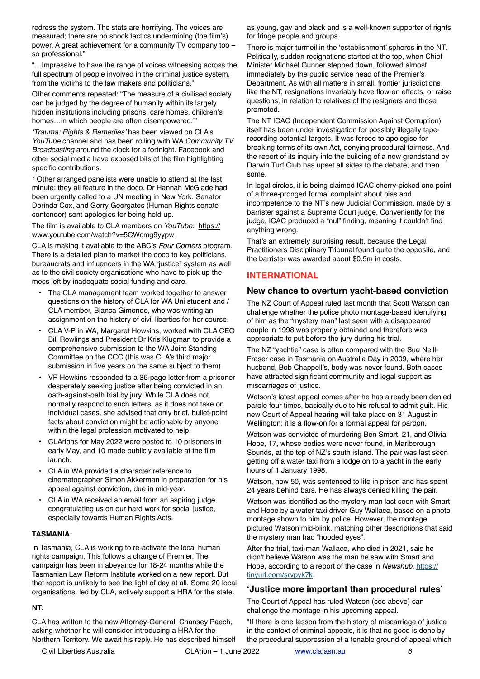redress the system. The stats are horrifying. The voices are measured; there are no shock tactics undermining (the film's) power. A great achievement for a community TV company too – so professional."

"…Impressive to have the range of voices witnessing across the full spectrum of people involved in the criminal justice system, from the victims to the law makers and politicians."

Other comments repeated: "The measure of a civilised society can be judged by the degree of humanity within its largely hidden institutions including prisons, care homes, children's homes…in which people are often disempowered.'"

*'Trauma: Rights & Remedies'* has been viewed on CLA's *YouTube* channel and has been rolling with WA *Community TV Broadcasting* around the clock for a fortnight. Facebook and other social media have exposed bits of the film highlighting specific contributions.

\* Other arranged panelists were unable to attend at the last minute: they all feature in the doco. Dr Hannah McGlade had been urgently called to a UN meeting in New York. Senator Dorinda Cox, and Gerry Georgatos (Human Rights senate contender) sent apologies for being held up.

The film is available to CLA members on *YouTube*: [https://](https://www.youtube.com/watch?v=5CWcmg9yypw) [www.youtube.com/watch?v=5CWcmg9yypw](https://www.youtube.com/watch?v=5CWcmg9yypw)

CLA is making it available to the ABC's *Four Corners* program. There is a detailed plan to market the doco to key politicians, bureaucrats and influencers in the WA "justice" system as well as to the civil society organisations who have to pick up the mess left by inadequate social funding and care.

- The CLA management team worked together to answer questions on the history of CLA for WA Uni student and / CLA member, Bianca Gimondo, who was writing an assignment on the history of civil liberties for her course.
- CLA V-P in WA, Margaret Howkins, worked with CLA CEO Bill Rowlings and President Dr Kris Klugman to provide a comprehensive submission to the WA Joint Standing Committee on the CCC (this was CLA's third major submission in five years on the same subject to them).
- VP Howkins responded to a 36-page letter from a prisoner desperately seeking justice after being convicted in an oath-against-oath trial by jury. While CLA does not normally respond to such letters, as it does not take on individual cases, she advised that only brief, bullet-point facts about conviction might be actionable by anyone within the legal profession motivated to help.
- CLArions for May 2022 were posted to 10 prisoners in early May, and 10 made publicly available at the film launch.
- CLA in WA provided a character reference to cinematographer Simon Akkerman in preparation for his appeal against conviction, due in mid-year.
- CLA in WA received an email from an aspiring judge congratulating us on our hard work for social justice, especially towards Human Rights Acts.

#### **TASMANIA:**

In Tasmania, CLA is working to re-activate the local human rights campaign. This follows a change of Premier. The campaign has been in abeyance for 18-24 months while the Tasmanian Law Reform Institute worked on a new report. But that report is unlikely to see the light of day at all. Some 20 local organisations, led by CLA, actively support a HRA for the state.

#### **NT:**

CLA has written to the new Attorney-General, Chansey Paech, asking whether he will consider introducing a HRA for the Northern Territory. We await his reply. He has described himself as young, gay and black and is a well-known supporter of rights for fringe people and groups.

There is major turmoil in the 'establishment' spheres in the NT. Politically, sudden resignations started at the top, when Chief Minister Michael Gunner stepped down, followed almost immediately by the public service head of the Premier's Department. As with all matters in small, frontier jurisdictions like the NT, resignations invariably have flow-on effects, or raise questions, in relation to relatives of the resigners and those promoted.

The NT ICAC (Independent Commission Against Corruption) itself has been under investigation for possibly illegally taperecording potential targets. It was forced to apologise for breaking terms of its own Act, denying procedural fairness. And the report of its inquiry into the building of a new grandstand by Darwin Turf Club has upset all sides to the debate, and then some.

In legal circles, it is being claimed ICAC cherry-picked one point of a three-pronged formal complaint about bias and incompetence to the NT's new Judicial Commission, made by a barrister against a Supreme Court judge. Conveniently for the judge, ICAC produced a "nul" finding, meaning it couldn't find anything wrong.

That's an extremely surprising result, because the Legal Practitioners Disciplinary Tribunal found quite the opposite, and the barrister was awarded about \$0.5m in costs.

#### **INTERNATIONAL**

#### **New chance to overturn yacht-based conviction**

The NZ Court of Appeal ruled last month that Scott Watson can challenge whether the police photo montage-based identifying of him as the "mystery man" last seen with a disappeared couple in 1998 was properly obtained and therefore was appropriate to put before the jury during his trial.

The NZ "yachtie" case is often compared with the Sue Neill-Fraser case in Tasmania on Australia Day in 2009, where her husband, Bob Chappell's, body was never found. Both cases have attracted significant community and legal support as miscarriages of justice.

Watson's latest appeal comes after he has already been denied parole four times, basically due to his refusal to admit guilt. His new Court of Appeal hearing will take place on 31 August in Wellington: it is a flow-on for a formal appeal for pardon.

Watson was convicted of murdering Ben Smart, 21, and Olivia Hope, 17, whose bodies were never found, in Marlborough Sounds, at the top of NZ's south island. The pair was last seen getting off a water taxi from a lodge on to a yacht in the early hours of 1 January 1998.

Watson, now 50, was sentenced to life in prison and has spent 24 years behind bars. He has always denied killing the pair.

Watson was identified as the mystery man last seen with Smart and Hope by a water taxi driver Guy Wallace, based on a photo montage shown to him by police. However, the montage pictured Watson mid-blink, matching other descriptions that said the mystery man had "hooded eyes".

After the trial, taxi-man Wallace, who died in 2021, said he didn't believe Watson was the man he saw with Smart and Hope, according to a report of the case in *Newshub*. [https://](https://tinyurl.com/srvpyk7k) [tinyurl.com/srvpyk7k](https://tinyurl.com/srvpyk7k)

#### **'Justice more important than procedural rules'**

The Court of Appeal has ruled Watson (see above) can challenge the montage in his upcoming appeal.

"If there is one lesson from the history of miscarriage of justice in the context of criminal appeals, it is that no good is done by the procedural suppression of a tenable ground of appeal which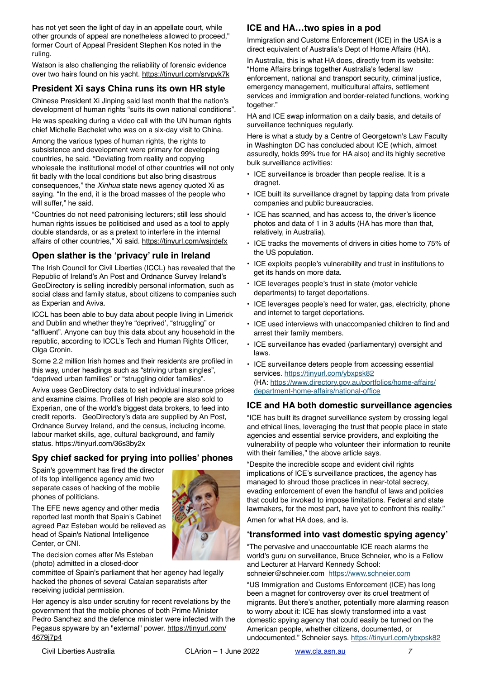has not yet seen the light of day in an appellate court, while other grounds of appeal are nonetheless allowed to proceed," former Court of Appeal President Stephen Kos noted in the ruling.

Watson is also challenging the reliability of forensic evidence over two hairs found on his yacht.<https://tinyurl.com/srvpyk7k>

# **President Xi says China runs its own HR style**

Chinese President Xi Jinping said last month that the nation's development of human rights "suits its own national conditions".

He was speaking during a video call with the UN human rights chief Michelle Bachelet who was on a six-day visit to China.

Among the various types of human rights, the rights to subsistence and development were primary for developing countries, he said. "Deviating from reality and copying wholesale the institutional model of other countries will not only fit badly with the local conditions but also bring disastrous consequences," the *Xinhua* state news agency quoted Xi as saying. "In the end, it is the broad masses of the people who will suffer," he said.

"Countries do not need patronising lecturers; still less should human rights issues be politicised and used as a tool to apply double standards, or as a pretext to interfere in the internal affairs of other countries," Xi said.<https://tinyurl.com/wsjrdefx>

### **Open slather is the 'privacy' rule in Ireland**

The Irish Council for Civil Liberties (ICCL) has revealed that the Republic of Ireland's An Post and Ordnance Survey Ireland's GeoDirectory is selling incredibly personal information, such as social class and family status, about citizens to companies such as Experian and Aviva.

ICCL has been able to buy data about people living in Limerick and Dublin and whether they're "deprived', "struggling" or "affluent". Anyone can buy this data about any household in the republic, according to ICCL's Tech and Human Rights Officer, Olga Cronin.

Some 2.2 million Irish homes and their residents are profiled in this way, under headings such as "striving urban singles", "deprived urban families" or "struggling older families".

Aviva uses GeoDirectory data to set individual insurance prices and examine claims. Profiles of Irish people are also sold to Experian, one of the world's biggest data brokers, to feed into credit reports. GeoDirectory's data are supplied by An Post, Ordnance Survey Ireland, and the census, including income, labour market skills, age, cultural background, and family status. <https://tinyurl.com/36s3by2x>

# **Spy chief sacked for prying into pollies' phones**

Spain's government has fired the director of its top intelligence agency amid two separate cases of hacking of the mobile phones of politicians.

The EFE news agency and other media reported last month that Spain's Cabinet agreed Paz Esteban would be relieved as head of Spain's National Intelligence Center, or CNI.



The decision comes after Ms Esteban (photo) admitted in a closed-door

committee of Spain's parliament that her agency had legally hacked the phones of several Catalan separatists after receiving judicial permission.

Her agency is also under scrutiny for recent revelations by the government that the mobile phones of both Prime Minister Pedro Sanchez and the defence minister were infected with the Pegasus spyware by an "external" power. [https://tinyurl.com/](https://tinyurl.com/4679j7p4) [4679j7p4](https://tinyurl.com/4679j7p4)

# **ICE and HA…two spies in a pod**

Immigration and Customs Enforcement (ICE) in the USA is a direct equivalent of Australia's Dept of Home Affairs (HA).

In Australia, this is what HA does, directly from its website: "Home Affairs brings together Australia's federal law enforcement, national and transport security, criminal justice, emergency management, multicultural affairs, settlement services and immigration and border-related functions, working together."

HA and ICE swap information on a daily basis, and details of surveillance techniques regularly.

Here is what a study by a Centre of Georgetown's Law Faculty in Washington DC has concluded about ICE (which, almost assuredly, holds 99% true for HA also) and its highly secretive bulk surveillance activities:

- ICE surveillance is broader than people realise. It is a dragnet.
- ICE built its surveillance dragnet by tapping data from private companies and public bureaucracies.
- ICE has scanned, and has access to, the driver's licence photos and data of 1 in 3 adults (HA has more than that, relatively, in Australia).
- ICE tracks the movements of drivers in cities home to 75% of the US population.
- ICE exploits people's vulnerability and trust in institutions to get its hands on more data.
- ICE leverages people's trust in state (motor vehicle departments) to target deportations.
- ICE leverages people's need for water, gas, electricity, phone and internet to target deportations.
- ICE used interviews with unaccompanied children to find and arrest their family members.
- ICE surveillance has evaded (parliamentary) oversight and laws.
- ICE surveillance deters people from accessing essential services. <https://tinyurl.com/ybxpsk82> [\(HA: https://www.directory.gov.au/portfolios/home-affairs/](https://www.directory.gov.au/portfolios/home-affairs/department-home-affairs/national-office) [department-home-affairs/national-office](https://www.directory.gov.au/portfolios/home-affairs/department-home-affairs/national-office)

### **ICE and HA both domestic surveillance agencies**

"ICE has built its dragnet surveillance system by crossing legal and ethical lines, leveraging the trust that people place in state agencies and essential service providers, and exploiting the vulnerability of people who volunteer their information to reunite with their families," the above article says.

"Despite the incredible scope and evident civil rights implications of ICE's surveillance practices, the agency has managed to shroud those practices in near-total secrecy, evading enforcement of even the handful of laws and policies that could be invoked to impose limitations. Federal and state lawmakers, for the most part, have yet to confront this reality."

Amen for what HA does, and is.

### **'transformed into vast domestic spying agency'**

"The pervasive and unaccountable ICE reach alarms the world's guru on surveillance, Bruce Schneier, who is a Fellow and Lecturer at Harvard Kennedy School:

schneier@schneier.com <https://www.schneier.com>

"US Immigration and Customs Enforcement (ICE) has long been a magnet for controversy over its cruel treatment of migrants. But there's another, potentially more alarming reason to worry about it: ICE has slowly transformed into a vast domestic spying agency that could easily be turned on the American people, whether citizens, documented, or undocumented." Schneier says. <https://tinyurl.com/ybxpsk82>